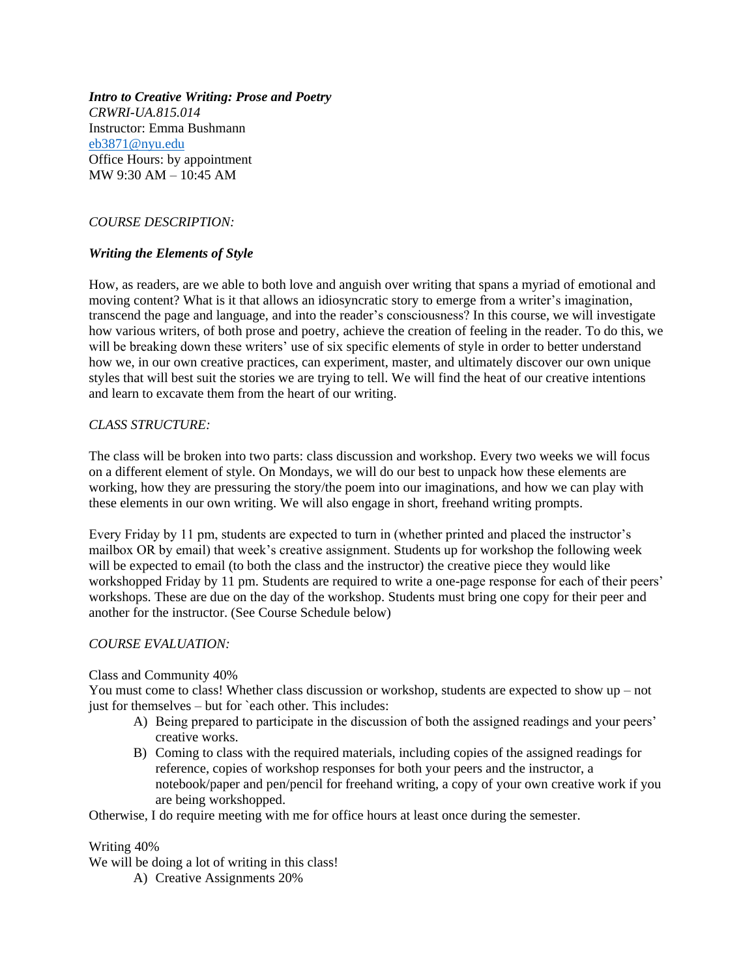*Intro to Creative Writing: Prose and Poetry CRWRI-UA.815.014* Instructor: Emma Bushmann [eb3871@nyu.edu](mailto:eb3871@nyu.edu) Office Hours: by appointment MW 9:30 AM – 10:45 AM

# *COURSE DESCRIPTION:*

# *Writing the Elements of Style*

How, as readers, are we able to both love and anguish over writing that spans a myriad of emotional and moving content? What is it that allows an idiosyncratic story to emerge from a writer's imagination, transcend the page and language, and into the reader's consciousness? In this course, we will investigate how various writers, of both prose and poetry, achieve the creation of feeling in the reader. To do this, we will be breaking down these writers' use of six specific elements of style in order to better understand how we, in our own creative practices, can experiment, master, and ultimately discover our own unique styles that will best suit the stories we are trying to tell. We will find the heat of our creative intentions and learn to excavate them from the heart of our writing.

# *CLASS STRUCTURE:*

The class will be broken into two parts: class discussion and workshop. Every two weeks we will focus on a different element of style. On Mondays, we will do our best to unpack how these elements are working, how they are pressuring the story/the poem into our imaginations, and how we can play with these elements in our own writing. We will also engage in short, freehand writing prompts.

Every Friday by 11 pm, students are expected to turn in (whether printed and placed the instructor's mailbox OR by email) that week's creative assignment. Students up for workshop the following week will be expected to email (to both the class and the instructor) the creative piece they would like workshopped Friday by 11 pm. Students are required to write a one-page response for each of their peers' workshops. These are due on the day of the workshop. Students must bring one copy for their peer and another for the instructor. (See Course Schedule below)

# *COURSE EVALUATION:*

#### Class and Community 40%

You must come to class! Whether class discussion or workshop, students are expected to show up – not just for themselves – but for `each other. This includes:

- A) Being prepared to participate in the discussion of both the assigned readings and your peers' creative works.
- B) Coming to class with the required materials, including copies of the assigned readings for reference, copies of workshop responses for both your peers and the instructor, a notebook/paper and pen/pencil for freehand writing, a copy of your own creative work if you are being workshopped.

Otherwise, I do require meeting with me for office hours at least once during the semester.

#### Writing 40%

We will be doing a lot of writing in this class!

A) Creative Assignments 20%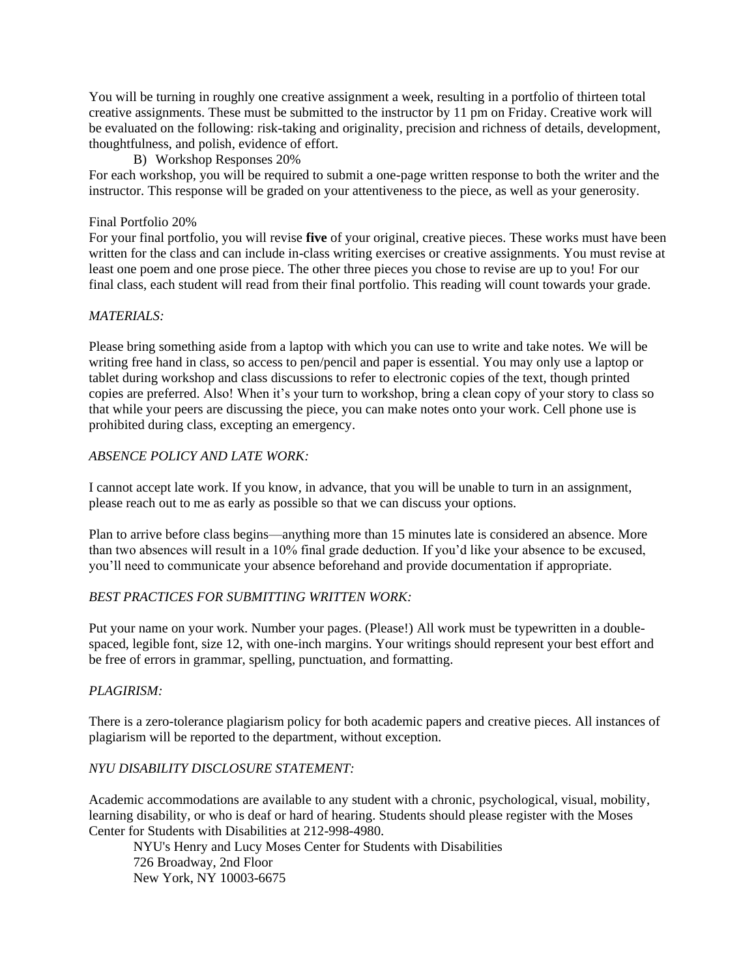You will be turning in roughly one creative assignment a week, resulting in a portfolio of thirteen total creative assignments. These must be submitted to the instructor by 11 pm on Friday. Creative work will be evaluated on the following: risk-taking and originality, precision and richness of details, development, thoughtfulness, and polish, evidence of effort.

# B) Workshop Responses 20%

For each workshop, you will be required to submit a one-page written response to both the writer and the instructor. This response will be graded on your attentiveness to the piece, as well as your generosity.

### Final Portfolio 20%

For your final portfolio, you will revise **five** of your original, creative pieces. These works must have been written for the class and can include in-class writing exercises or creative assignments. You must revise at least one poem and one prose piece. The other three pieces you chose to revise are up to you! For our final class, each student will read from their final portfolio. This reading will count towards your grade.

### *MATERIALS:*

Please bring something aside from a laptop with which you can use to write and take notes. We will be writing free hand in class, so access to pen/pencil and paper is essential. You may only use a laptop or tablet during workshop and class discussions to refer to electronic copies of the text, though printed copies are preferred. Also! When it's your turn to workshop, bring a clean copy of your story to class so that while your peers are discussing the piece, you can make notes onto your work. Cell phone use is prohibited during class, excepting an emergency.

### *ABSENCE POLICY AND LATE WORK:*

I cannot accept late work. If you know, in advance, that you will be unable to turn in an assignment, please reach out to me as early as possible so that we can discuss your options.

Plan to arrive before class begins—anything more than 15 minutes late is considered an absence. More than two absences will result in a 10% final grade deduction. If you'd like your absence to be excused, you'll need to communicate your absence beforehand and provide documentation if appropriate.

# *BEST PRACTICES FOR SUBMITTING WRITTEN WORK:*

Put your name on your work. Number your pages. (Please!) All work must be typewritten in a doublespaced, legible font, size 12, with one-inch margins. Your writings should represent your best effort and be free of errors in grammar, spelling, punctuation, and formatting.

# *PLAGIRISM:*

There is a zero-tolerance plagiarism policy for both academic papers and creative pieces. All instances of plagiarism will be reported to the department, without exception.

# *NYU DISABILITY DISCLOSURE STATEMENT:*

Academic accommodations are available to any student with a chronic, psychological, visual, mobility, learning disability, or who is deaf or hard of hearing. Students should please register with the Moses Center for Students with Disabilities at 212-998-4980.

NYU's Henry and Lucy Moses Center for Students with Disabilities 726 Broadway, 2nd Floor New York, NY 10003-6675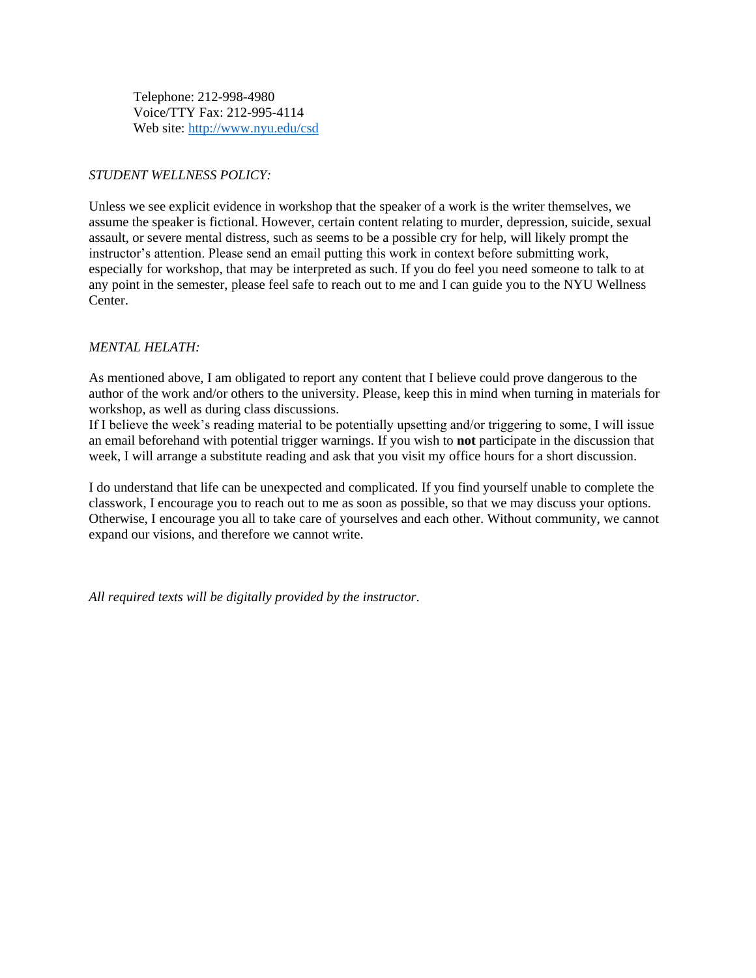Telephone: 212-998-4980 Voice/TTY Fax: 212-995-4114 Web site:<http://www.nyu.edu/csd>

# *STUDENT WELLNESS POLICY:*

Unless we see explicit evidence in workshop that the speaker of a work is the writer themselves, we assume the speaker is fictional. However, certain content relating to murder, depression, suicide, sexual assault, or severe mental distress, such as seems to be a possible cry for help, will likely prompt the instructor's attention. Please send an email putting this work in context before submitting work, especially for workshop, that may be interpreted as such. If you do feel you need someone to talk to at any point in the semester, please feel safe to reach out to me and I can guide you to the NYU Wellness Center.

# *MENTAL HELATH:*

As mentioned above, I am obligated to report any content that I believe could prove dangerous to the author of the work and/or others to the university. Please, keep this in mind when turning in materials for workshop, as well as during class discussions.

If I believe the week's reading material to be potentially upsetting and/or triggering to some, I will issue an email beforehand with potential trigger warnings. If you wish to **not** participate in the discussion that week, I will arrange a substitute reading and ask that you visit my office hours for a short discussion.

I do understand that life can be unexpected and complicated. If you find yourself unable to complete the classwork, I encourage you to reach out to me as soon as possible, so that we may discuss your options. Otherwise, I encourage you all to take care of yourselves and each other. Without community, we cannot expand our visions, and therefore we cannot write.

*All required texts will be digitally provided by the instructor.*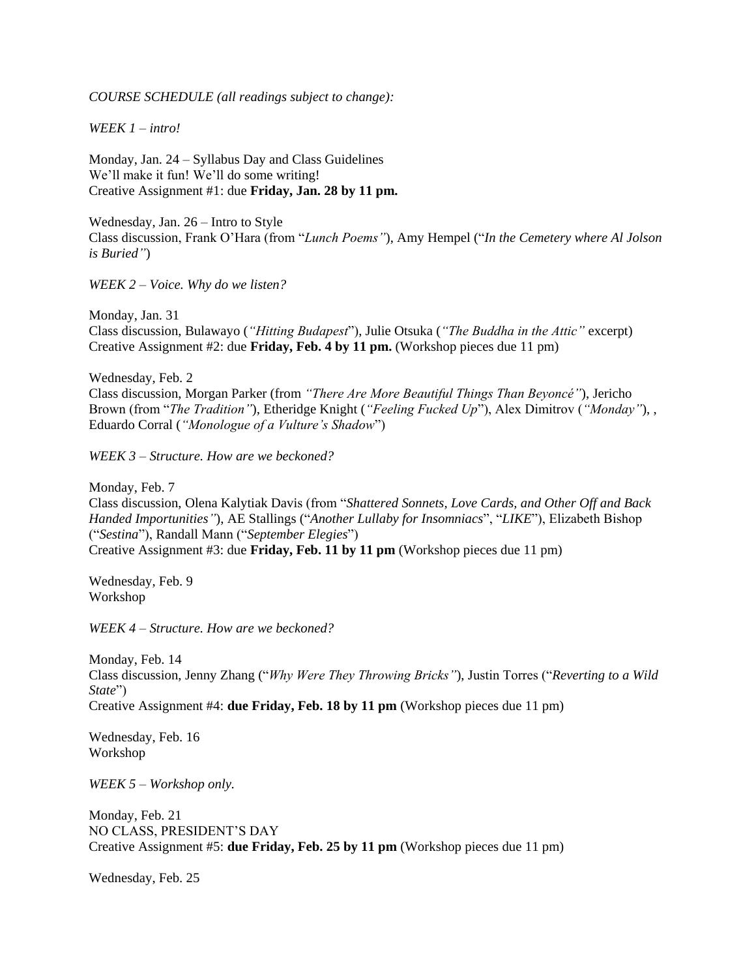*COURSE SCHEDULE (all readings subject to change):* 

*WEEK 1 – intro!* 

Monday, Jan. 24 – Syllabus Day and Class Guidelines We'll make it fun! We'll do some writing! Creative Assignment #1: due **Friday, Jan. 28 by 11 pm.** 

Wednesday, Jan. 26 – Intro to Style Class discussion, Frank O'Hara (from "*Lunch Poems"*), Amy Hempel ("*In the Cemetery where Al Jolson is Buried"*)

*WEEK 2 – Voice. Why do we listen?* 

Monday, Jan. 31 Class discussion, Bulawayo (*"Hitting Budapest*"), Julie Otsuka (*"The Buddha in the Attic"* excerpt) Creative Assignment #2: due **Friday, Feb. 4 by 11 pm.** (Workshop pieces due 11 pm)

Wednesday, Feb. 2 Class discussion, Morgan Parker (from *"There Are More Beautiful Things Than Beyoncé"*), Jericho Brown (from "*The Tradition"*), Etheridge Knight (*"Feeling Fucked Up*"), Alex Dimitrov (*"Monday"*), , Eduardo Corral (*"Monologue of a Vulture's Shadow*")

*WEEK 3 – Structure. How are we beckoned?* 

Monday, Feb. 7

Class discussion, Olena Kalytiak Davis (from "*Shattered Sonnets, Love Cards, and Other Off and Back Handed Importunities"*), AE Stallings ("*Another Lullaby for Insomniacs*", "*LIKE*"), Elizabeth Bishop ("*Sestina*"), Randall Mann ("*September Elegies*") Creative Assignment #3: due **Friday, Feb. 11 by 11 pm** (Workshop pieces due 11 pm)

Wednesday, Feb. 9 Workshop

*WEEK 4 – Structure. How are we beckoned?* 

Monday, Feb. 14 Class discussion, Jenny Zhang ("*Why Were They Throwing Bricks"*), Justin Torres ("*Reverting to a Wild State*") Creative Assignment #4: **due Friday, Feb. 18 by 11 pm** (Workshop pieces due 11 pm)

Wednesday, Feb. 16 Workshop

*WEEK 5 – Workshop only.* 

Monday, Feb. 21 NO CLASS, PRESIDENT'S DAY Creative Assignment #5: **due Friday, Feb. 25 by 11 pm** (Workshop pieces due 11 pm)

Wednesday, Feb. 25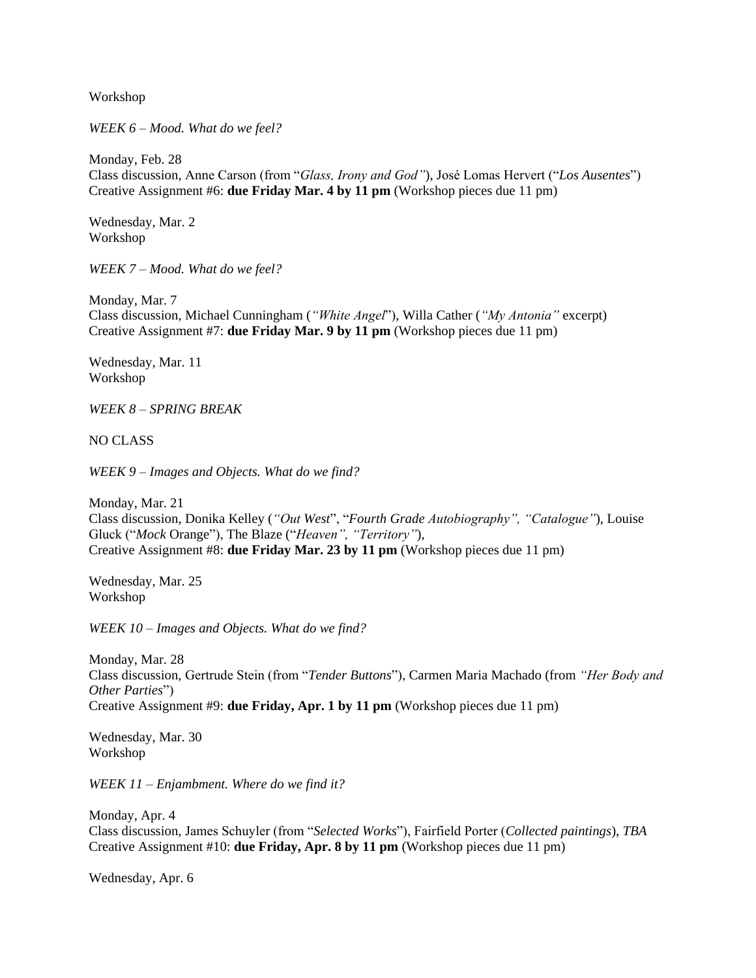Workshop

*WEEK 6 – Mood. What do we feel?* 

Monday, Feb. 28 Class discussion, Anne Carson (from "*Glass, Irony and God"*), José Lomas Hervert ("*Los Ausentes*") Creative Assignment #6: **due Friday Mar. 4 by 11 pm** (Workshop pieces due 11 pm)

Wednesday, Mar. 2 Workshop

*WEEK 7 – Mood. What do we feel?* 

Monday, Mar. 7 Class discussion, Michael Cunningham (*"White Angel*"), Willa Cather (*"My Antonia"* excerpt) Creative Assignment #7: **due Friday Mar. 9 by 11 pm** (Workshop pieces due 11 pm)

Wednesday, Mar. 11 Workshop

*WEEK 8 – SPRING BREAK*

NO CLASS

*WEEK 9 – Images and Objects. What do we find?* 

Monday, Mar. 21 Class discussion, Donika Kelley (*"Out West*", "*Fourth Grade Autobiography", "Catalogue"*), Louise Gluck ("*Mock* Orange"), The Blaze ("*Heaven", "Territory"*), Creative Assignment #8: **due Friday Mar. 23 by 11 pm** (Workshop pieces due 11 pm)

Wednesday, Mar. 25 Workshop

*WEEK 10 – Images and Objects. What do we find?*

Monday, Mar. 28 Class discussion, Gertrude Stein (from "*Tender Buttons*"), Carmen Maria Machado (from *"Her Body and Other Parties*") Creative Assignment #9: **due Friday, Apr. 1 by 11 pm** (Workshop pieces due 11 pm)

Wednesday, Mar. 30 Workshop

*WEEK 11 – Enjambment. Where do we find it?*

Monday, Apr. 4 Class discussion, James Schuyler (from "*Selected Works*"), Fairfield Porter (*Collected paintings*), *TBA*  Creative Assignment #10: **due Friday, Apr. 8 by 11 pm** (Workshop pieces due 11 pm)

Wednesday, Apr. 6